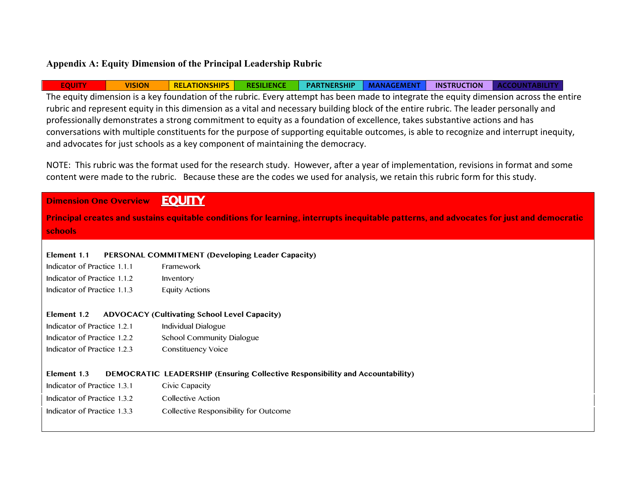## **Appendix A: Equity Dimension of the Principal Leadership Rubric**

**EQUITY VISION RELATIONSHIPS RESILIENCE PARTNERSHIP MANAGEMENT INSTRUCTION ACCOUNTABILITY** The equity dimension is a key foundation of the rubric. Every attempt has been made to integrate the equity dimension across the entire rubric and represent equity in this dimension as a vital and necessary building block of the entire rubric. The leader personally and professionally demonstrates a strong commitment to equity as a foundation of excellence, takes substantive actions and has conversations with multiple constituents for the purpose of supporting equitable outcomes, is able to recognize and interrupt inequity, and advocates for just schools as a key component of maintaining the democracy.

NOTE: This rubric was the format used for the research study. However, after a year of implementation, revisions in format and some content were made to the rubric. Because these are the codes we used for analysis, we retain this rubric form for this study.

| <b>Dimension One Overview</b>                                                                                                            | <b>EQUITY</b>                                                                        |  |  |  |
|------------------------------------------------------------------------------------------------------------------------------------------|--------------------------------------------------------------------------------------|--|--|--|
| Principal creates and sustains equitable conditions for learning, interrupts inequitable patterns, and advocates for just and democratic |                                                                                      |  |  |  |
| schools                                                                                                                                  |                                                                                      |  |  |  |
|                                                                                                                                          |                                                                                      |  |  |  |
| Element 1.1                                                                                                                              | PERSONAL COMMITMENT (Developing Leader Capacity)                                     |  |  |  |
| Indicator of Practice 1.1.1                                                                                                              | Framework                                                                            |  |  |  |
| Indicator of Practice 1.1.2                                                                                                              | Inventory                                                                            |  |  |  |
| Indicator of Practice 1.1.3                                                                                                              | <b>Equity Actions</b>                                                                |  |  |  |
|                                                                                                                                          |                                                                                      |  |  |  |
| Element 1.2                                                                                                                              | <b>ADVOCACY (Cultivating School Level Capacity)</b>                                  |  |  |  |
| Indicator of Practice 1.2.1                                                                                                              | Individual Dialogue                                                                  |  |  |  |
| Indicator of Practice 1.2.2                                                                                                              | School Community Dialogue                                                            |  |  |  |
| Indicator of Practice 1.2.3                                                                                                              | Constituency Voice                                                                   |  |  |  |
|                                                                                                                                          |                                                                                      |  |  |  |
| Element 1.3                                                                                                                              | <b>DEMOCRATIC LEADERSHIP (Ensuring Collective Responsibility and Accountability)</b> |  |  |  |
| Indicator of Practice 1.3.1                                                                                                              | Civic Capacity                                                                       |  |  |  |
| Indicator of Practice 1.3.2                                                                                                              | Collective Action                                                                    |  |  |  |
| Indicator of Practice 1.3.3                                                                                                              | Collective Responsibility for Outcome                                                |  |  |  |
|                                                                                                                                          |                                                                                      |  |  |  |